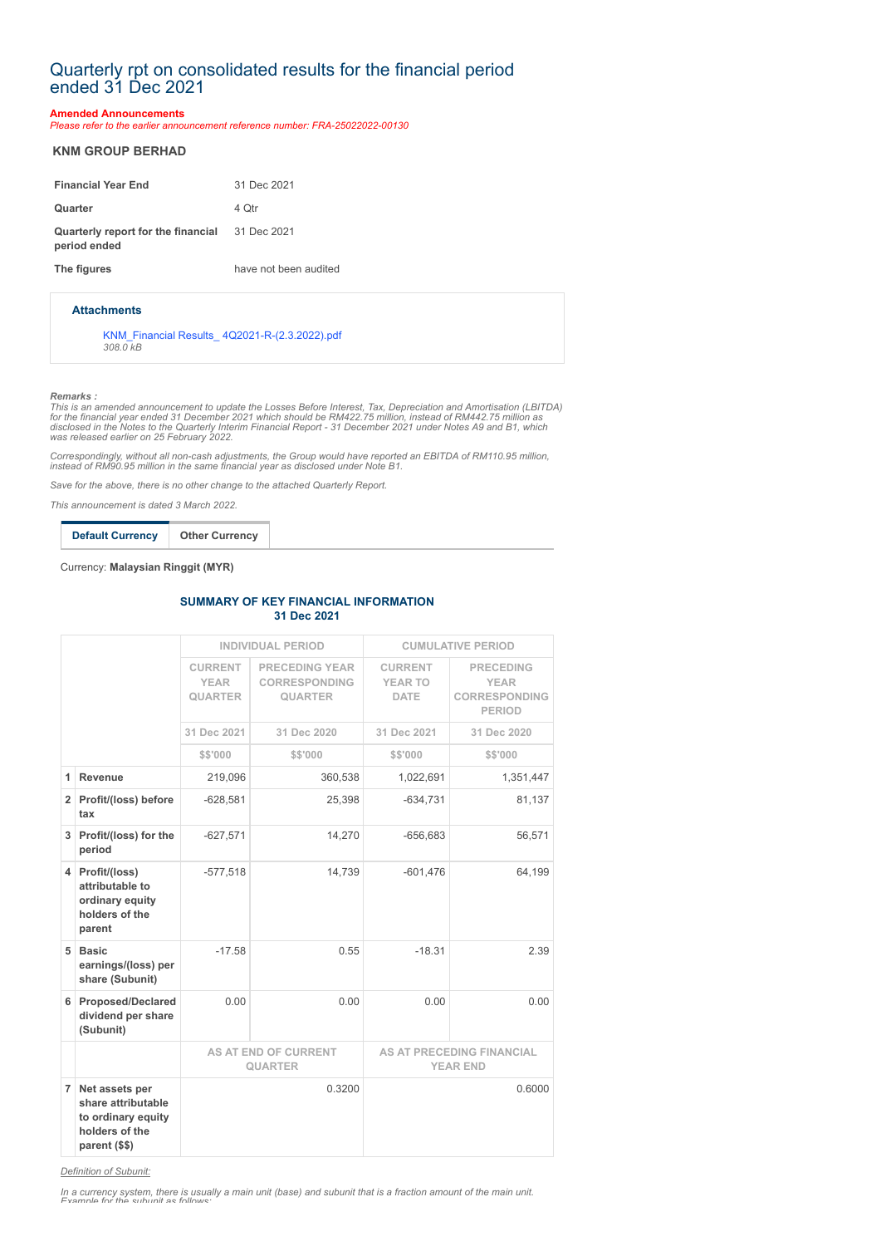# Quarterly rpt on consolidated results for the financial period ended 31 Dec 2021

### **Amended Announcements**

*Please refer to the earlier announcement reference number: FRA-25022022-00130*

## **KNM GROUP BERHAD**

| <b>Financial Year End</b>                                             | 31 Dec 2021           |
|-----------------------------------------------------------------------|-----------------------|
| Quarter                                                               | 4 Otr                 |
| <b>Quarterly report for the financial</b> 31 Dec 2021<br>period ended |                       |
| The figures                                                           | have not been audited |

#### **Attachments**

[KNM\\_Financial Results\\_ 4Q2021-R-\(2.3.2022\).pdf](https://disclosure.bursamalaysia.com/FileAccess/apbursaweb/download?id=218222&name=EA_FR_ATTACHMENTS) *308.0 kB*

#### *Remarks :*

This is an amended announcement to update the Losses Before Interest, Tax, Depreciation and Amortisation (LBITDA)<br>for the financial year ended 31 December 2021 which should be RM422.75 million, instead of RM442.75 million

*Correspondingly, without all non-cash adjustments, the Group would have reported an EBITDA of RM110.95 million, instead of RM90.95 million in the same financial year as disclosed under Note B1.* 

*Save for the above, there is no other change to the attached Quarterly Report.*

*This announcement is dated 3 March 2022.*

**Default Currency Other Currency**

Currency: **Malaysian Ringgit (MYR)**

#### **SUMMARY OF KEY FINANCIAL INFORMATION 31 Dec 2021**

|                |                                                                                               | <b>INDIVIDUAL PERIOD</b>                        |                                                                 | <b>CUMULATIVE PERIOD</b>                            |                                                                          |
|----------------|-----------------------------------------------------------------------------------------------|-------------------------------------------------|-----------------------------------------------------------------|-----------------------------------------------------|--------------------------------------------------------------------------|
|                |                                                                                               | <b>CURRENT</b><br><b>YEAR</b><br><b>QUARTER</b> | <b>PRECEDING YEAR</b><br><b>CORRESPONDING</b><br><b>QUARTER</b> | <b>CURRENT</b><br><b>YEAR TO</b><br><b>DATE</b>     | <b>PRECEDING</b><br><b>YEAR</b><br><b>CORRESPONDING</b><br><b>PERIOD</b> |
|                |                                                                                               | 31 Dec 2021                                     | 31 Dec 2020                                                     | 31 Dec 2021                                         | 31 Dec 2020                                                              |
|                |                                                                                               | \$\$'000                                        | \$\$'000                                                        | \$\$'000                                            | \$\$'000                                                                 |
| 1              | Revenue                                                                                       | 219,096                                         | 360,538                                                         | 1,022,691                                           | 1,351,447                                                                |
|                | 2 Profit/(loss) before<br>tax                                                                 | $-628,581$                                      | 25,398                                                          | $-634,731$                                          | 81,137                                                                   |
| 3              | Profit/(loss) for the<br>period                                                               | $-627,571$                                      | 14,270                                                          | $-656,683$                                          | 56,571                                                                   |
| 4              | Profit/(loss)<br>attributable to<br>ordinary equity<br>holders of the<br>parent               | $-577,518$                                      | 14.739                                                          | $-601,476$                                          | 64,199                                                                   |
| 5              | <b>Basic</b><br>earnings/(loss) per<br>share (Subunit)                                        | $-17.58$                                        | 0.55                                                            | $-18.31$                                            | 2.39                                                                     |
| 6              | <b>Proposed/Declared</b><br>dividend per share<br>(Subunit)                                   | 0.00                                            | 0.00                                                            | 0.00                                                | 0.00                                                                     |
|                |                                                                                               | <b>AS AT END OF CURRENT</b><br><b>QUARTER</b>   |                                                                 | <b>AS AT PRECEDING FINANCIAL</b><br><b>YEAR END</b> |                                                                          |
| $\overline{7}$ | Net assets per<br>share attributable<br>to ordinary equity<br>holders of the<br>parent (\$\$) | 0.3200                                          |                                                                 |                                                     | 0.6000                                                                   |

*Definition of Subunit:*

*In a currency system, there is usually a main unit (base) and subunit that is a fraction amount of the main unit. Example for the subunit as follows:*